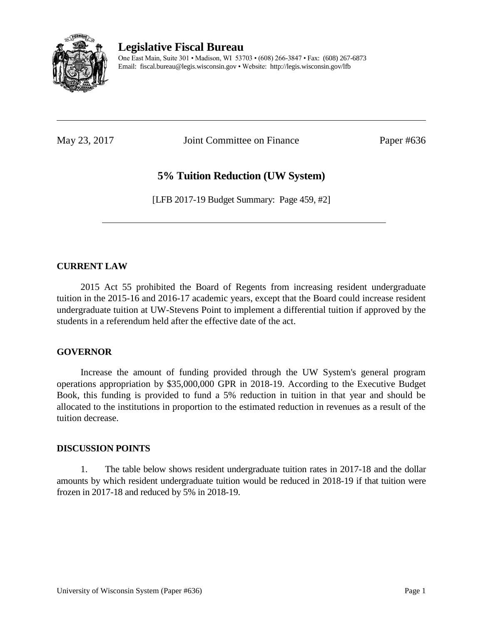

**Legislative Fiscal Bureau**

One East Main, Suite 301 • Madison, WI 53703 • (608) 266-3847 • Fax: (608) 267-6873 Email: fiscal.bureau@legis.wisconsin.gov • Website:<http://legis.wisconsin.gov/lfb>

May 23, 2017 **Joint Committee on Finance** Paper #636

# **5% Tuition Reduction (UW System)**

[LFB 2017-19 Budget Summary: Page 459, #2]

# **CURRENT LAW**

2015 Act 55 prohibited the Board of Regents from increasing resident undergraduate tuition in the 2015-16 and 2016-17 academic years, except that the Board could increase resident undergraduate tuition at UW-Stevens Point to implement a differential tuition if approved by the students in a referendum held after the effective date of the act.

#### **GOVERNOR**

Increase the amount of funding provided through the UW System's general program operations appropriation by \$35,000,000 GPR in 2018-19. According to the Executive Budget Book, this funding is provided to fund a 5% reduction in tuition in that year and should be allocated to the institutions in proportion to the estimated reduction in revenues as a result of the tuition decrease.

#### **DISCUSSION POINTS**

1. The table below shows resident undergraduate tuition rates in 2017-18 and the dollar amounts by which resident undergraduate tuition would be reduced in 2018-19 if that tuition were frozen in 2017-18 and reduced by 5% in 2018-19.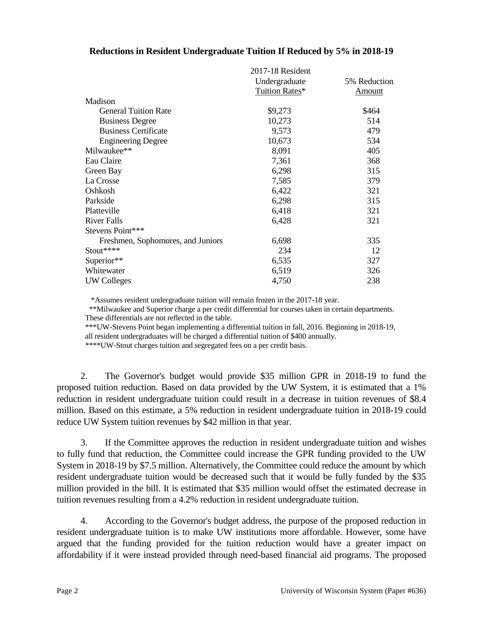# **Reductions in Resident Undergraduate Tuition If Reduced by 5% in 2018-19**

|                                   | 2017-18 Resident<br>Undergraduate<br>Tuition Rates* | 5% Reduction<br><u>Amount</u> |
|-----------------------------------|-----------------------------------------------------|-------------------------------|
| Madison                           |                                                     |                               |
| <b>General Tuition Rate</b>       | \$9,273                                             | \$464                         |
| <b>Business Degree</b>            | 10,273                                              | 514                           |
| <b>Business Certificate</b>       | 9,573                                               | 479                           |
| <b>Engineering Degree</b>         | 10,673                                              | 534                           |
| Milwaukee**                       | 8,091                                               | 405                           |
| Eau Claire                        | 7,361                                               | 368                           |
| Green Bay                         | 6,298                                               | 315                           |
| La Crosse                         | 7,585                                               | 379                           |
| Oshkosh                           | 6,422                                               | 321                           |
| Parkside                          | 6,298                                               | 315                           |
| Platteville                       | 6,418                                               | 321                           |
| <b>River Falls</b>                | 6,428                                               | 321                           |
| Stevens Point***                  |                                                     |                               |
| Freshmen, Sophomores, and Juniors | 6,698                                               | 335                           |
| $Stout***$                        | 234                                                 | 12                            |
| Superior**                        | 6,535                                               | 327                           |
| Whitewater                        | 6,519                                               | 326                           |
| <b>UW Colleges</b>                | 4,750                                               | 238                           |

\*Assumes resident undergraduate tuition will remain frozen in the 2017-18 year.

 \*\*Milwaukee and Superior charge a per credit differential for courses taken in certain departments. These differentials are not reflected in the table.

\*\*\*UW-Stevens Point began implementing a differential tuition in fall, 2016. Beginning in 2018-19,

all resident undergraduates will be charged a differential tuition of \$400 annually.

\*\*\*\*UW-Stout charges tuition and segregated fees on a per credit basis.

2. The Governor's budget would provide \$35 million GPR in 2018-19 to fund the proposed tuition reduction. Based on data provided by the UW System, it is estimated that a 1% reduction in resident undergraduate tuition could result in a decrease in tuition revenues of \$8.4 million. Based on this estimate, a 5% reduction in resident undergraduate tuition in 2018-19 could reduce UW System tuition revenues by \$42 million in that year.

3. If the Committee approves the reduction in resident undergraduate tuition and wishes to fully fund that reduction, the Committee could increase the GPR funding provided to the UW System in 2018-19 by \$7.5 million. Alternatively, the Committee could reduce the amount by which resident undergraduate tuition would be decreased such that it would be fully funded by the \$35 million provided in the bill. It is estimated that \$35 million would offset the estimated decrease in tuition revenues resulting from a 4.2% reduction in resident undergraduate tuition.

4. According to the Governor's budget address, the purpose of the proposed reduction in resident undergraduate tuition is to make UW institutions more affordable. However, some have argued that the funding provided for the tuition reduction would have a greater impact on affordability if it were instead provided through need-based financial aid programs. The proposed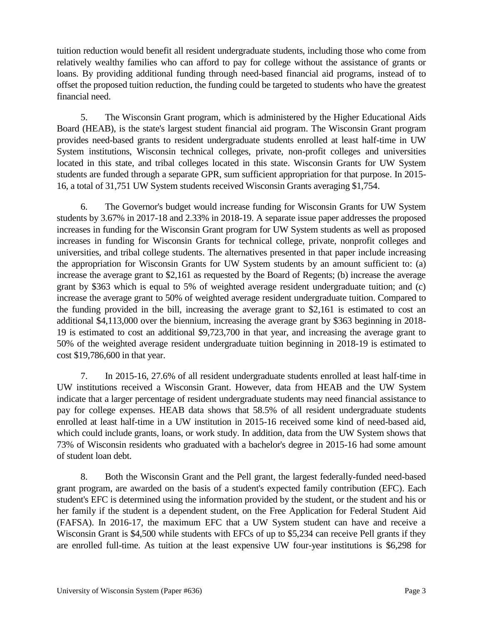tuition reduction would benefit all resident undergraduate students, including those who come from relatively wealthy families who can afford to pay for college without the assistance of grants or loans. By providing additional funding through need-based financial aid programs, instead of to offset the proposed tuition reduction, the funding could be targeted to students who have the greatest financial need.

5. The Wisconsin Grant program, which is administered by the Higher Educational Aids Board (HEAB), is the state's largest student financial aid program. The Wisconsin Grant program provides need-based grants to resident undergraduate students enrolled at least half-time in UW System institutions, Wisconsin technical colleges, private, non-profit colleges and universities located in this state, and tribal colleges located in this state. Wisconsin Grants for UW System students are funded through a separate GPR, sum sufficient appropriation for that purpose. In 2015- 16, a total of 31,751 UW System students received Wisconsin Grants averaging \$1,754.

6. The Governor's budget would increase funding for Wisconsin Grants for UW System students by 3.67% in 2017-18 and 2.33% in 2018-19. A separate issue paper addresses the proposed increases in funding for the Wisconsin Grant program for UW System students as well as proposed increases in funding for Wisconsin Grants for technical college, private, nonprofit colleges and universities, and tribal college students. The alternatives presented in that paper include increasing the appropriation for Wisconsin Grants for UW System students by an amount sufficient to: (a) increase the average grant to \$2,161 as requested by the Board of Regents; (b) increase the average grant by \$363 which is equal to 5% of weighted average resident undergraduate tuition; and (c) increase the average grant to 50% of weighted average resident undergraduate tuition. Compared to the funding provided in the bill, increasing the average grant to \$2,161 is estimated to cost an additional \$4,113,000 over the biennium, increasing the average grant by \$363 beginning in 2018- 19 is estimated to cost an additional \$9,723,700 in that year, and increasing the average grant to 50% of the weighted average resident undergraduate tuition beginning in 2018-19 is estimated to cost \$19,786,600 in that year.

7. In 2015-16, 27.6% of all resident undergraduate students enrolled at least half-time in UW institutions received a Wisconsin Grant. However, data from HEAB and the UW System indicate that a larger percentage of resident undergraduate students may need financial assistance to pay for college expenses. HEAB data shows that 58.5% of all resident undergraduate students enrolled at least half-time in a UW institution in 2015-16 received some kind of need-based aid, which could include grants, loans, or work study. In addition, data from the UW System shows that 73% of Wisconsin residents who graduated with a bachelor's degree in 2015-16 had some amount of student loan debt.

8. Both the Wisconsin Grant and the Pell grant, the largest federally-funded need-based grant program, are awarded on the basis of a student's expected family contribution (EFC). Each student's EFC is determined using the information provided by the student, or the student and his or her family if the student is a dependent student, on the Free Application for Federal Student Aid (FAFSA). In 2016-17, the maximum EFC that a UW System student can have and receive a Wisconsin Grant is \$4,500 while students with EFCs of up to \$5,234 can receive Pell grants if they are enrolled full-time. As tuition at the least expensive UW four-year institutions is \$6,298 for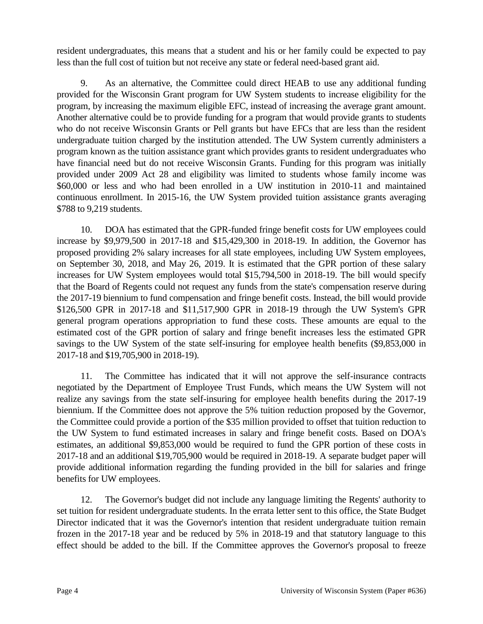resident undergraduates, this means that a student and his or her family could be expected to pay less than the full cost of tuition but not receive any state or federal need-based grant aid.

9. As an alternative, the Committee could direct HEAB to use any additional funding provided for the Wisconsin Grant program for UW System students to increase eligibility for the program, by increasing the maximum eligible EFC, instead of increasing the average grant amount. Another alternative could be to provide funding for a program that would provide grants to students who do not receive Wisconsin Grants or Pell grants but have EFCs that are less than the resident undergraduate tuition charged by the institution attended. The UW System currently administers a program known as the tuition assistance grant which provides grants to resident undergraduates who have financial need but do not receive Wisconsin Grants. Funding for this program was initially provided under 2009 Act 28 and eligibility was limited to students whose family income was \$60,000 or less and who had been enrolled in a UW institution in 2010-11 and maintained continuous enrollment. In 2015-16, the UW System provided tuition assistance grants averaging \$788 to 9,219 students.

10. DOA has estimated that the GPR-funded fringe benefit costs for UW employees could increase by \$9,979,500 in 2017-18 and \$15,429,300 in 2018-19. In addition, the Governor has proposed providing 2% salary increases for all state employees, including UW System employees, on September 30, 2018, and May 26, 2019. It is estimated that the GPR portion of these salary increases for UW System employees would total \$15,794,500 in 2018-19. The bill would specify that the Board of Regents could not request any funds from the state's compensation reserve during the 2017-19 biennium to fund compensation and fringe benefit costs. Instead, the bill would provide \$126,500 GPR in 2017-18 and \$11,517,900 GPR in 2018-19 through the UW System's GPR general program operations appropriation to fund these costs. These amounts are equal to the estimated cost of the GPR portion of salary and fringe benefit increases less the estimated GPR savings to the UW System of the state self-insuring for employee health benefits (\$9,853,000 in 2017-18 and \$19,705,900 in 2018-19).

11. The Committee has indicated that it will not approve the self-insurance contracts negotiated by the Department of Employee Trust Funds, which means the UW System will not realize any savings from the state self-insuring for employee health benefits during the 2017-19 biennium. If the Committee does not approve the 5% tuition reduction proposed by the Governor, the Committee could provide a portion of the \$35 million provided to offset that tuition reduction to the UW System to fund estimated increases in salary and fringe benefit costs. Based on DOA's estimates, an additional \$9,853,000 would be required to fund the GPR portion of these costs in 2017-18 and an additional \$19,705,900 would be required in 2018-19. A separate budget paper will provide additional information regarding the funding provided in the bill for salaries and fringe benefits for UW employees.

12. The Governor's budget did not include any language limiting the Regents' authority to set tuition for resident undergraduate students. In the errata letter sent to this office, the State Budget Director indicated that it was the Governor's intention that resident undergraduate tuition remain frozen in the 2017-18 year and be reduced by 5% in 2018-19 and that statutory language to this effect should be added to the bill. If the Committee approves the Governor's proposal to freeze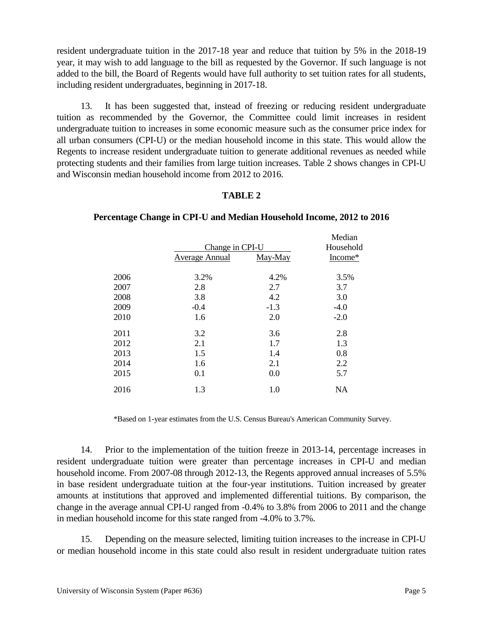resident undergraduate tuition in the 2017-18 year and reduce that tuition by 5% in the 2018-19 year, it may wish to add language to the bill as requested by the Governor. If such language is not added to the bill, the Board of Regents would have full authority to set tuition rates for all students, including resident undergraduates, beginning in 2017-18.

13. It has been suggested that, instead of freezing or reducing resident undergraduate tuition as recommended by the Governor, the Committee could limit increases in resident undergraduate tuition to increases in some economic measure such as the consumer price index for all urban consumers (CPI-U) or the median household income in this state. This would allow the Regents to increase resident undergraduate tuition to generate additional revenues as needed while protecting students and their families from large tuition increases. Table 2 shows changes in CPI-U and Wisconsin median household income from 2012 to 2016.

# **TABLE 2**

|                | Change in CPI-U |                      |
|----------------|-----------------|----------------------|
| Average Annual | May-May         | Household<br>Income* |
| 2006<br>3.2%   | 4.2%            | 3.5%                 |
| 2007<br>2.8    | 2.7             | 3.7                  |
| 2008<br>3.8    | 4.2             | 3.0                  |
| 2009<br>$-0.4$ | $-1.3$          | $-4.0$               |
| 2010<br>1.6    | 2.0             | $-2.0$               |
| 2011<br>3.2    | 3.6             | 2.8                  |
| 2012<br>2.1    | 1.7             | 1.3                  |
| 2013<br>1.5    | 1.4             | 0.8                  |
| 2014<br>1.6    | 2.1             | 2.2                  |
| 2015<br>0.1    | 0.0             | 5.7                  |
| 2016<br>1.3    | 1.0             | <b>NA</b>            |

# **Percentage Change in CPI-U and Median Household Income, 2012 to 2016**

\*Based on 1-year estimates from the U.S. Census Bureau's American Community Survey.

14. Prior to the implementation of the tuition freeze in 2013-14, percentage increases in resident undergraduate tuition were greater than percentage increases in CPI-U and median household income. From 2007-08 through 2012-13, the Regents approved annual increases of 5.5% in base resident undergraduate tuition at the four-year institutions. Tuition increased by greater amounts at institutions that approved and implemented differential tuitions. By comparison, the change in the average annual CPI-U ranged from -0.4% to 3.8% from 2006 to 2011 and the change in median household income for this state ranged from -4.0% to 3.7%.

15. Depending on the measure selected, limiting tuition increases to the increase in CPI-U or median household income in this state could also result in resident undergraduate tuition rates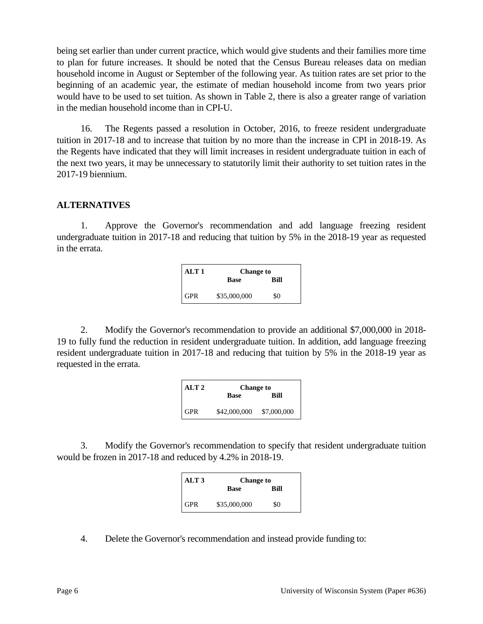being set earlier than under current practice, which would give students and their families more time to plan for future increases. It should be noted that the Census Bureau releases data on median household income in August or September of the following year. As tuition rates are set prior to the beginning of an academic year, the estimate of median household income from two years prior would have to be used to set tuition. As shown in Table 2, there is also a greater range of variation in the median household income than in CPI-U.

16. The Regents passed a resolution in October, 2016, to freeze resident undergraduate tuition in 2017-18 and to increase that tuition by no more than the increase in CPI in 2018-19. As the Regents have indicated that they will limit increases in resident undergraduate tuition in each of the next two years, it may be unnecessary to statutorily limit their authority to set tuition rates in the 2017-19 biennium.

#### **ALTERNATIVES**

1. Approve the Governor's recommendation and add language freezing resident undergraduate tuition in 2017-18 and reducing that tuition by 5% in the 2018-19 year as requested in the errata.

| ALT 1      | <b>Change to</b> |      |
|------------|------------------|------|
|            | <b>Base</b>      | Rill |
| <b>GPR</b> | \$35,000,000     | \$0  |

2. Modify the Governor's recommendation to provide an additional \$7,000,000 in 2018- 19 to fully fund the reduction in resident undergraduate tuition. In addition, add language freezing resident undergraduate tuition in 2017-18 and reducing that tuition by 5% in the 2018-19 year as requested in the errata.

| ALT <sub>2</sub> | <b>Change to</b> |             |
|------------------|------------------|-------------|
|                  | <b>Base</b>      | Rill        |
| <b>GPR</b>       | \$42,000,000     | \$7,000,000 |

3. Modify the Governor's recommendation to specify that resident undergraduate tuition would be frozen in 2017-18 and reduced by 4.2% in 2018-19.

| ALT <sub>3</sub> | <b>Change to</b> |      |
|------------------|------------------|------|
|                  | <b>Base</b>      | Rill |
| GPR              | \$35,000,000     | \$0  |

4. Delete the Governor's recommendation and instead provide funding to: